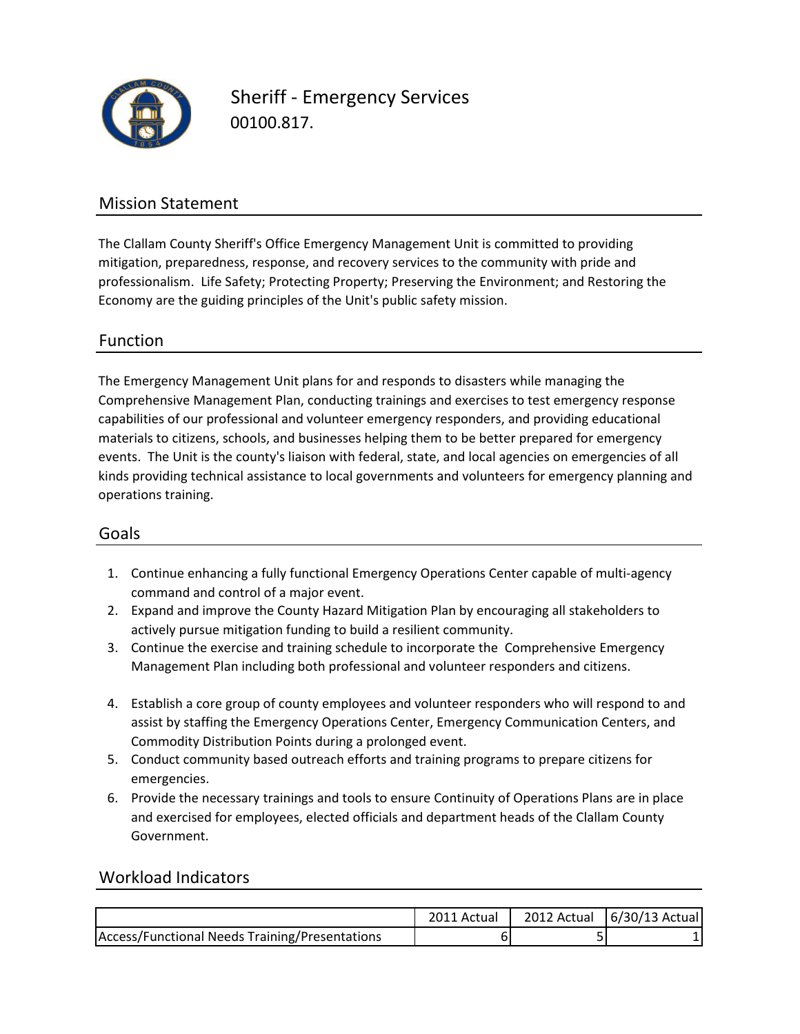

00100.817. Sheriff - Emergency Services

## Mission Statement

The Clallam County Sheriff's Office Emergency Management Unit is committed to providing mitigation, preparedness, response, and recovery services to the community with pride and professionalism. Life Safety; Protecting Property; Preserving the Environment; and Restoring the Economy are the guiding principles of the Unit's public safety mission.

## Function

The Emergency Management Unit plans for and responds to disasters while managing the Comprehensive Management Plan, conducting trainings and exercises to test emergency response capabilities of our professional and volunteer emergency responders, and providing educational materials to citizens, schools, and businesses helping them to be better prepared for emergency events. The Unit is the county's liaison with federal, state, and local agencies on emergencies of all kinds providing technical assistance to local governments and volunteers for emergency planning and operations training.

### Goals

- 1. Continue enhancing a fully functional Emergency Operations Center capable of multi-agency command and control of a major event.
- 2. Expand and improve the County Hazard Mitigation Plan by encouraging all stakeholders to actively pursue mitigation funding to build a resilient community.
- 3. Continue the exercise and training schedule to incorporate the Comprehensive Emergency Management Plan including both professional and volunteer responders and citizens.
- 4. Establish a core group of county employees and volunteer responders who will respond to and assist by staffing the Emergency Operations Center, Emergency Communication Centers, and Commodity Distribution Points during a prolonged event.
- 5. Conduct community based outreach efforts and training programs to prepare citizens for emergencies.
- 6. Provide the necessary trainings and tools to ensure Continuity of Operations Plans are in place and exercised for employees, elected officials and department heads of the Clallam County Government.

### Workload Indicators

|                                                | 2011 Actual | 2012 Actual $(6/30/13$ Actual |
|------------------------------------------------|-------------|-------------------------------|
| Access/Functional Needs Training/Presentations |             |                               |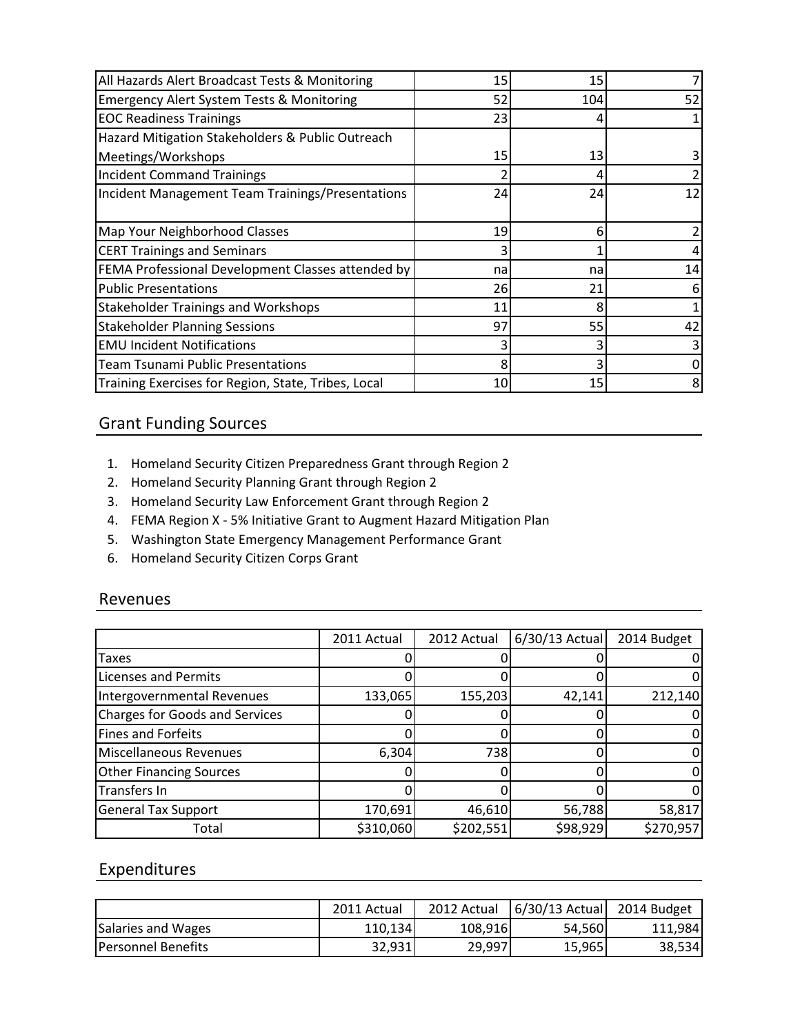| All Hazards Alert Broadcast Tests & Monitoring       | 15 | 15  |    |
|------------------------------------------------------|----|-----|----|
| <b>Emergency Alert System Tests &amp; Monitoring</b> | 52 | 104 | 52 |
| <b>EOC Readiness Trainings</b>                       | 23 |     |    |
| Hazard Mitigation Stakeholders & Public Outreach     |    |     |    |
| Meetings/Workshops                                   | 15 | 13  |    |
| <b>Incident Command Trainings</b>                    |    |     |    |
| Incident Management Team Trainings/Presentations     | 24 | 24  | 12 |
|                                                      |    |     |    |
| Map Your Neighborhood Classes                        | 19 | 6   |    |
| <b>CERT Trainings and Seminars</b>                   |    |     |    |
| FEMA Professional Development Classes attended by    | na | na  | 14 |
| <b>Public Presentations</b>                          | 26 | 21  |    |
| <b>Stakeholder Trainings and Workshops</b>           | 11 | ጸ   |    |
| <b>Stakeholder Planning Sessions</b>                 | 97 | 55  | 42 |
| <b>EMU Incident Notifications</b>                    |    |     |    |
| <b>Team Tsunami Public Presentations</b>             | 8  |     |    |
| Training Exercises for Region, State, Tribes, Local  | 10 | 15  |    |

## Grant Funding Sources

- 1. Homeland Security Citizen Preparedness Grant through Region 2
- 2. Homeland Security Planning Grant through Region 2
- 3. Homeland Security Law Enforcement Grant through Region 2
- 4. FEMA Region X 5% Initiative Grant to Augment Hazard Mitigation Plan
- 5. Washington State Emergency Management Performance Grant
- 6. Homeland Security Citizen Corps Grant

#### Revenues

|                                       | 2011 Actual | 2012 Actual | $6/30/13$ Actual | 2014 Budget |
|---------------------------------------|-------------|-------------|------------------|-------------|
| Taxes                                 |             |             |                  |             |
| <b>Licenses and Permits</b>           |             |             |                  |             |
| Intergovernmental Revenues            | 133,065     | 155,203     | 42,141           | 212,140     |
| <b>Charges for Goods and Services</b> |             |             |                  |             |
| <b>Fines and Forfeits</b>             |             |             |                  |             |
| Miscellaneous Revenues                | 6,304       | 738         |                  |             |
| <b>Other Financing Sources</b>        |             |             |                  |             |
| <b>Transfers In</b>                   |             |             |                  |             |
| <b>General Tax Support</b>            | 170,691     | 46,610      | 56,788           | 58,817      |
| Total                                 | \$310,060   | \$202,551   | \$98,929         | \$270,957   |

## Expenditures

|                            | 2011 Actual | 2012 Actual | $6/30/13$ Actual | 2014 Budget |
|----------------------------|-------------|-------------|------------------|-------------|
| Salaries and Wages         | 110,134     | 108,916     | 54,560           | 111.984     |
| <b>IPersonnel Benefits</b> | 32.931      | 29,997      | 15,965           | 38,534      |